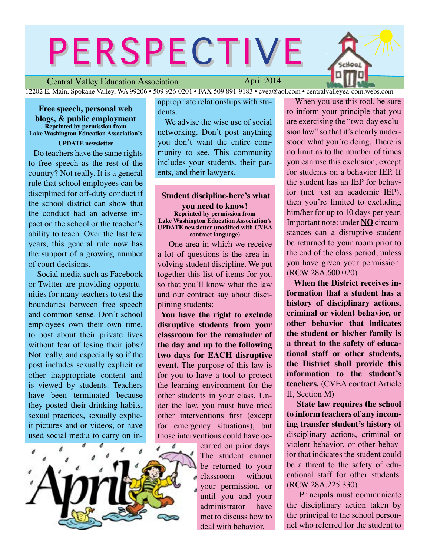# PERSPECTIVE



Central Valley Education Association

April 2014

12202 E. Main, Spokane Valley, WA 99206 • 509 926-0201 • FAX 509 891-9183 • cvea@aol.com • centralvalleyea-com.webs.com

**Free speech, personal web blogs, & public employment Reprinted by permission from Lake Washington Education Association's** 

**UPDATE newsletter** Do teachers have the same rights to free speech as the rest of the country? Not really. It is a general rule that school employees can be disciplined for off-duty conduct if the school district can show that the conduct had an adverse impact on the school or the teacher's ability to teach. Over the last few years, this general rule now has the support of a growing number of court decisions.

 Social media such as Facebook or Twitter are providing opportunities for many teachers to test the boundaries between free speech and common sense. Don't school employees own their own time, to post about their private lives without fear of losing their jobs? Not really, and especially so if the post includes sexually explicit or other inappropriate content and is viewed by students. Teachers have been terminated because they posted their drinking habits, sexual practices, sexually explicit pictures and or videos, or have used social media to carry on in-



appropriate relationships with students.

We advise the wise use of social networking. Don't post anything you don't want the entire community to see. This community includes your students, their parents, and their lawyers.

 **Student discipline-here's what you need to know! Reprinted by permission from Lake Washington Education Association's UPDATE newsletter (modified with CVEA contract language)**

One area in which we receive a lot of questions is the area involving student discipline. We put together this list of items for you so that you'll know what the law and our contract say about disciplining students:

**You have the right to exclude disruptive students from your classroom for the remainder of the day and up to the following two days for EACH disruptive event.** The purpose of this law is for you to have a tool to protect the learning environment for the other students in your class. Under the law, you must have tried other interventions first (except for emergency situations), but those interventions could have oc-

> curred on prior days. The student cannot be returned to your classroom without your permission, or until you and your administrator have met to discuss how to deal with behavior.

 When you use this tool, be sure to inform your principle that you are exercising the "two-day exclusion law" so that it's clearly understood what you're doing. There is no limit as to the number of times you can use this exclusion, except for students on a behavior IEP. If the student has an IEP for behavior (not just an academic IEP), then you're limited to excluding him/her for up to 10 days per year. Important note: under **NO** circumstances can a disruptive student be returned to your room prior to the end of the class period, unless you have given your permission. (RCW 28A.600.020)

 **When the District receives information that a student has a history of disciplinary actions, criminal or violent behavior, or other behavior that indicates the student or his/her family is a threat to the safety of educational staff or other students, the District shall provide this information to the student's teachers.** (CVEA contract Article II, Section M)

 **State law requires the school to inform teachers of any incoming transfer student's history** of disciplinary actions, criminal or violent behavior, or other behavior that indicates the student could be a threat to the safety of educational staff for other students. (RCW 28A.225.330)

 Principals must communicate the disciplinary action taken by the principal to the school personnel who referred for the student to